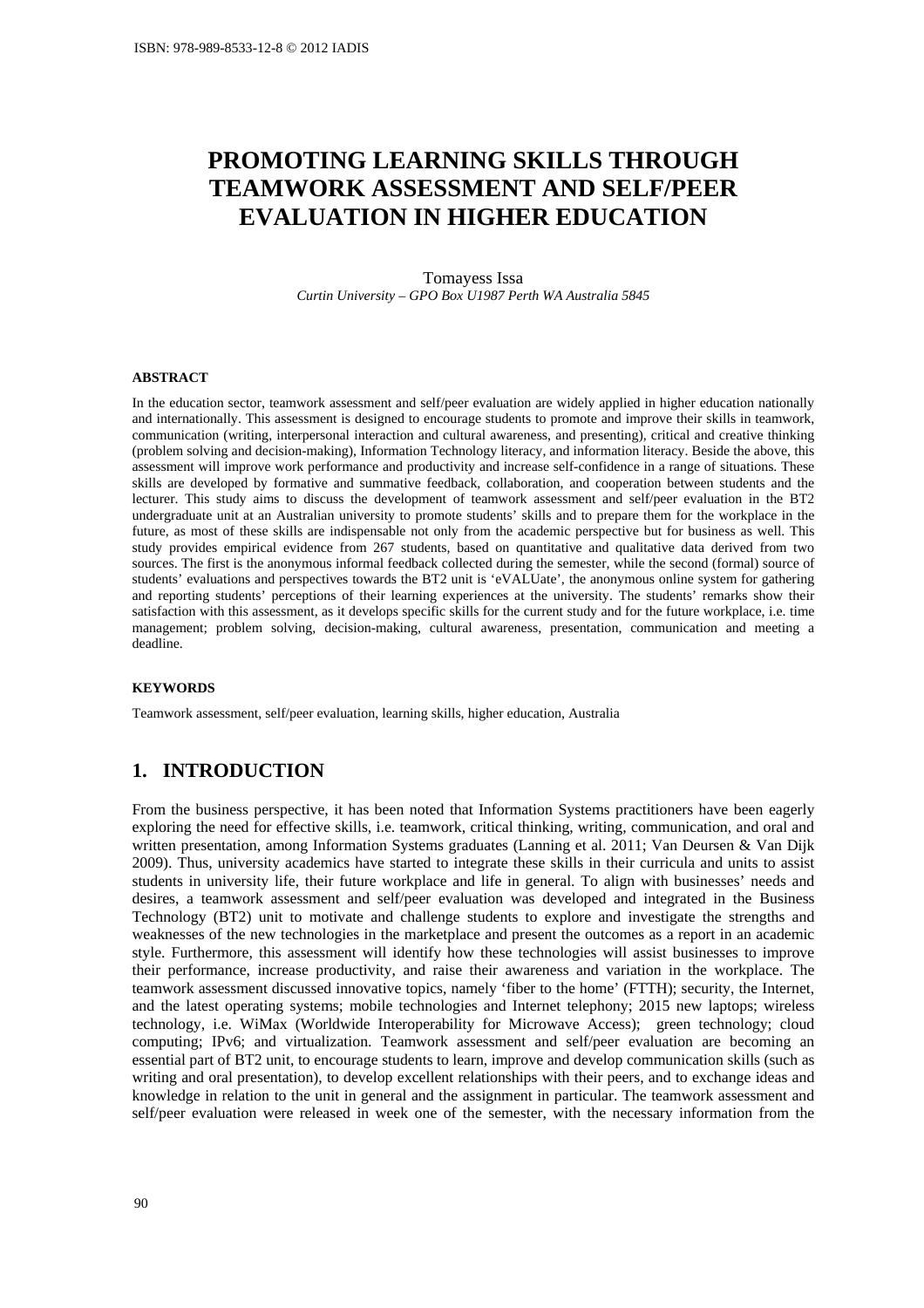# **PROMOTING LEARNING SKILLS THROUGH TEAMWORK ASSESSMENT AND SELF/PEER EVALUATION IN HIGHER EDUCATION**

Tomayess Issa *Curtin University – GPO Box U1987 Perth WA Australia 5845* 

#### **ABSTRACT**

In the education sector, teamwork assessment and self/peer evaluation are widely applied in higher education nationally and internationally. This assessment is designed to encourage students to promote and improve their skills in teamwork, communication (writing, interpersonal interaction and cultural awareness, and presenting), critical and creative thinking (problem solving and decision-making), Information Technology literacy, and information literacy. Beside the above, this assessment will improve work performance and productivity and increase self-confidence in a range of situations. These skills are developed by formative and summative feedback, collaboration, and cooperation between students and the lecturer. This study aims to discuss the development of teamwork assessment and self/peer evaluation in the BT2 undergraduate unit at an Australian university to promote students' skills and to prepare them for the workplace in the future, as most of these skills are indispensable not only from the academic perspective but for business as well. This study provides empirical evidence from 267 students, based on quantitative and qualitative data derived from two sources. The first is the anonymous informal feedback collected during the semester, while the second (formal) source of students' evaluations and perspectives towards the BT2 unit is 'eVALUate', the anonymous online system for gathering and reporting students' perceptions of their learning experiences at the university. The students' remarks show their satisfaction with this assessment, as it develops specific skills for the current study and for the future workplace, i.e. time management; problem solving, decision-making, cultural awareness, presentation, communication and meeting a deadline.

#### **KEYWORDS**

Teamwork assessment, self/peer evaluation, learning skills, higher education, Australia

## **1. INTRODUCTION**

From the business perspective, it has been noted that Information Systems practitioners have been eagerly exploring the need for effective skills, i.e. teamwork, critical thinking, writing, communication, and oral and written presentation, among Information Systems graduates (Lanning et al. 2011; Van Deursen & Van Dijk 2009). Thus, university academics have started to integrate these skills in their curricula and units to assist students in university life, their future workplace and life in general. To align with businesses' needs and desires, a teamwork assessment and self/peer evaluation was developed and integrated in the Business Technology (BT2) unit to motivate and challenge students to explore and investigate the strengths and weaknesses of the new technologies in the marketplace and present the outcomes as a report in an academic style. Furthermore, this assessment will identify how these technologies will assist businesses to improve their performance, increase productivity, and raise their awareness and variation in the workplace. The teamwork assessment discussed innovative topics, namely 'fiber to the home' (FTTH); security, the Internet, and the latest operating systems; mobile technologies and Internet telephony; 2015 new laptops; wireless technology, i.e. WiMax (Worldwide Interoperability for Microwave Access); green technology; cloud computing; IPv6; and virtualization. Teamwork assessment and self/peer evaluation are becoming an essential part of BT2 unit, to encourage students to learn, improve and develop communication skills (such as writing and oral presentation), to develop excellent relationships with their peers, and to exchange ideas and knowledge in relation to the unit in general and the assignment in particular. The teamwork assessment and self/peer evaluation were released in week one of the semester, with the necessary information from the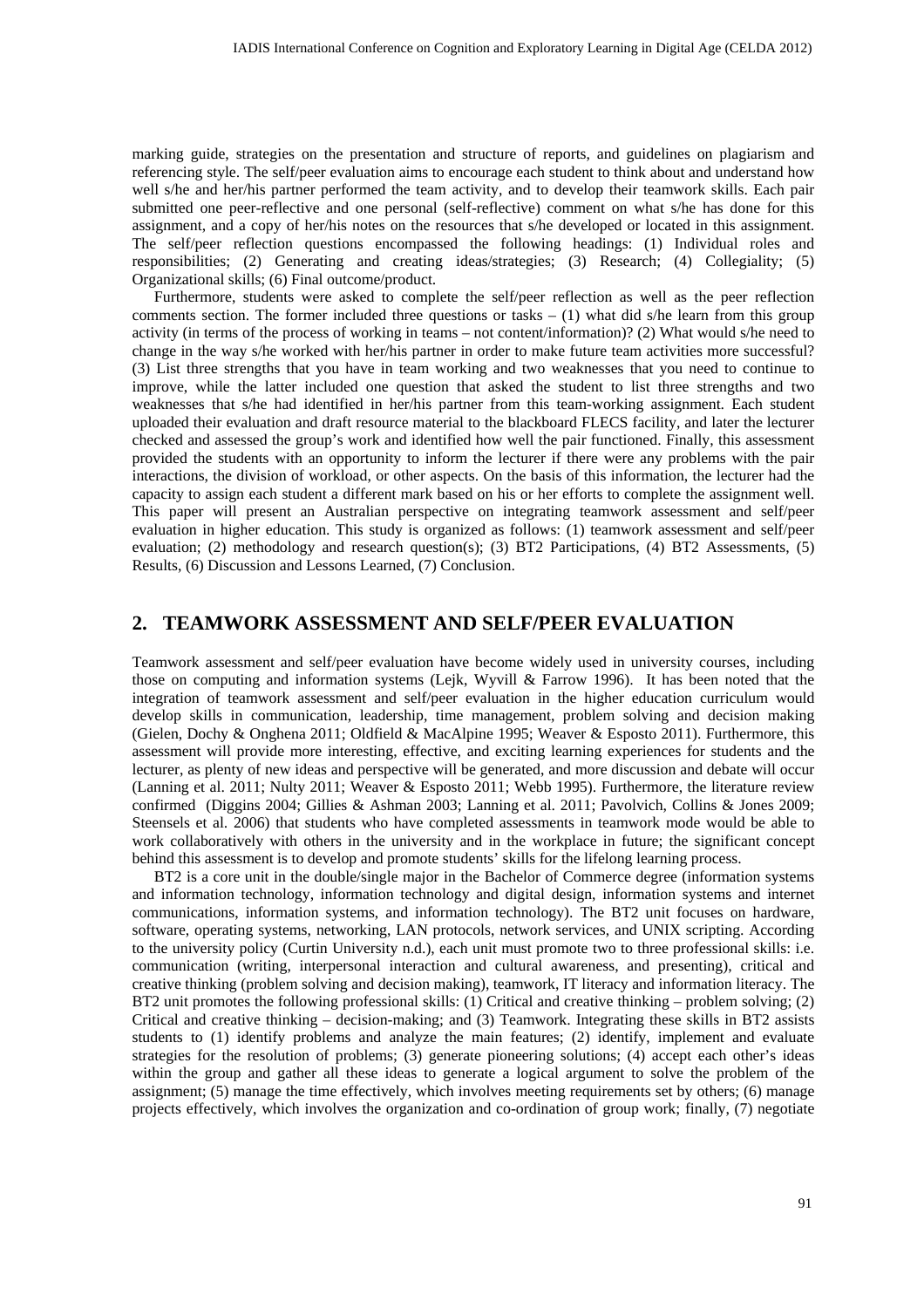marking guide, strategies on the presentation and structure of reports, and guidelines on plagiarism and referencing style. The self/peer evaluation aims to encourage each student to think about and understand how well s/he and her/his partner performed the team activity, and to develop their teamwork skills. Each pair submitted one peer-reflective and one personal (self-reflective) comment on what s/he has done for this assignment, and a copy of her/his notes on the resources that s/he developed or located in this assignment. The self/peer reflection questions encompassed the following headings: (1) Individual roles and responsibilities; (2) Generating and creating ideas/strategies; (3) Research; (4) Collegiality; (5) Organizational skills; (6) Final outcome/product.

Furthermore, students were asked to complete the self/peer reflection as well as the peer reflection comments section. The former included three questions or tasks  $- (1)$  what did s/he learn from this group activity (in terms of the process of working in teams – not content/information)? (2) What would s/he need to change in the way s/he worked with her/his partner in order to make future team activities more successful? (3) List three strengths that you have in team working and two weaknesses that you need to continue to improve, while the latter included one question that asked the student to list three strengths and two weaknesses that s/he had identified in her/his partner from this team-working assignment. Each student uploaded their evaluation and draft resource material to the blackboard FLECS facility, and later the lecturer checked and assessed the group's work and identified how well the pair functioned. Finally, this assessment provided the students with an opportunity to inform the lecturer if there were any problems with the pair interactions, the division of workload, or other aspects. On the basis of this information, the lecturer had the capacity to assign each student a different mark based on his or her efforts to complete the assignment well. This paper will present an Australian perspective on integrating teamwork assessment and self/peer evaluation in higher education. This study is organized as follows: (1) teamwork assessment and self/peer evaluation; (2) methodology and research question(s); (3) BT2 Participations, (4) BT2 Assessments, (5) Results, (6) Discussion and Lessons Learned, (7) Conclusion.

#### **2. TEAMWORK ASSESSMENT AND SELF/PEER EVALUATION**

Teamwork assessment and self/peer evaluation have become widely used in university courses, including those on computing and information systems (Lejk, Wyvill & Farrow 1996). It has been noted that the integration of teamwork assessment and self/peer evaluation in the higher education curriculum would develop skills in communication, leadership, time management, problem solving and decision making (Gielen, Dochy & Onghena 2011; Oldfield & MacAlpine 1995; Weaver & Esposto 2011). Furthermore, this assessment will provide more interesting, effective, and exciting learning experiences for students and the lecturer, as plenty of new ideas and perspective will be generated, and more discussion and debate will occur (Lanning et al. 2011; Nulty 2011; Weaver & Esposto 2011; Webb 1995). Furthermore, the literature review confirmed (Diggins 2004; Gillies & Ashman 2003; Lanning et al. 2011; Pavolvich, Collins & Jones 2009; Steensels et al. 2006) that students who have completed assessments in teamwork mode would be able to work collaboratively with others in the university and in the workplace in future; the significant concept behind this assessment is to develop and promote students' skills for the lifelong learning process.

BT2 is a core unit in the double/single major in the Bachelor of Commerce degree (information systems and information technology, information technology and digital design, information systems and internet communications, information systems, and information technology). The BT2 unit focuses on hardware, software, operating systems, networking, LAN protocols, network services, and UNIX scripting. According to the university policy (Curtin University n.d.), each unit must promote two to three professional skills: i.e. communication (writing, interpersonal interaction and cultural awareness, and presenting), critical and creative thinking (problem solving and decision making), teamwork, IT literacy and information literacy. The BT2 unit promotes the following professional skills: (1) Critical and creative thinking – problem solving; (2) Critical and creative thinking – decision-making; and (3) Teamwork. Integrating these skills in BT2 assists students to (1) identify problems and analyze the main features; (2) identify, implement and evaluate strategies for the resolution of problems; (3) generate pioneering solutions; (4) accept each other's ideas within the group and gather all these ideas to generate a logical argument to solve the problem of the assignment; (5) manage the time effectively, which involves meeting requirements set by others; (6) manage projects effectively, which involves the organization and co-ordination of group work; finally, (7) negotiate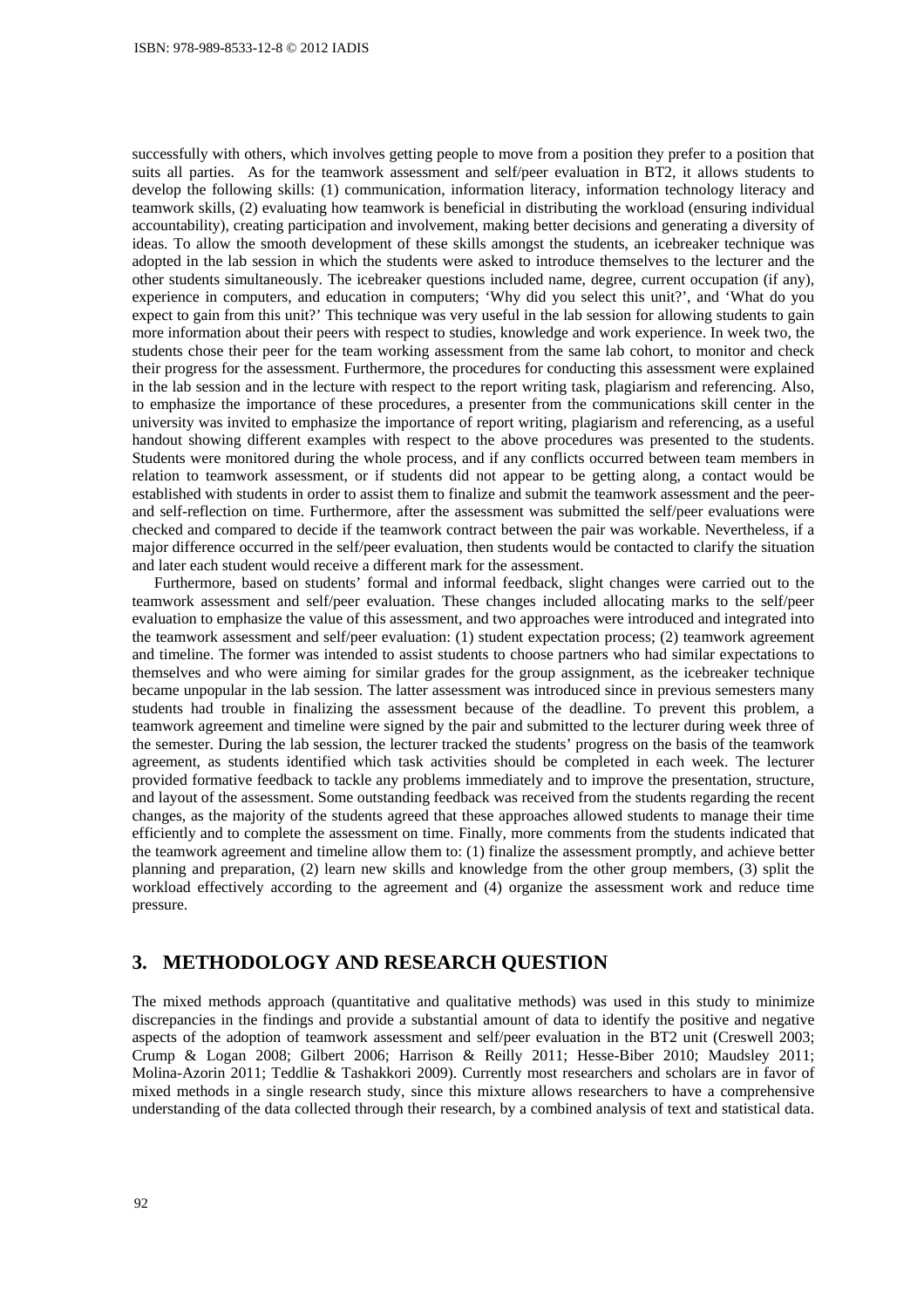successfully with others, which involves getting people to move from a position they prefer to a position that suits all parties. As for the teamwork assessment and self/peer evaluation in BT2, it allows students to develop the following skills: (1) communication, information literacy, information technology literacy and teamwork skills, (2) evaluating how teamwork is beneficial in distributing the workload (ensuring individual accountability), creating participation and involvement, making better decisions and generating a diversity of ideas. To allow the smooth development of these skills amongst the students, an icebreaker technique was adopted in the lab session in which the students were asked to introduce themselves to the lecturer and the other students simultaneously. The icebreaker questions included name, degree, current occupation (if any), experience in computers, and education in computers; 'Why did you select this unit?', and 'What do you expect to gain from this unit?' This technique was very useful in the lab session for allowing students to gain more information about their peers with respect to studies, knowledge and work experience. In week two, the students chose their peer for the team working assessment from the same lab cohort, to monitor and check their progress for the assessment. Furthermore, the procedures for conducting this assessment were explained in the lab session and in the lecture with respect to the report writing task, plagiarism and referencing. Also, to emphasize the importance of these procedures, a presenter from the communications skill center in the university was invited to emphasize the importance of report writing, plagiarism and referencing, as a useful handout showing different examples with respect to the above procedures was presented to the students. Students were monitored during the whole process, and if any conflicts occurred between team members in relation to teamwork assessment, or if students did not appear to be getting along, a contact would be established with students in order to assist them to finalize and submit the teamwork assessment and the peerand self-reflection on time. Furthermore, after the assessment was submitted the self/peer evaluations were checked and compared to decide if the teamwork contract between the pair was workable. Nevertheless, if a major difference occurred in the self/peer evaluation, then students would be contacted to clarify the situation and later each student would receive a different mark for the assessment.

Furthermore, based on students' formal and informal feedback, slight changes were carried out to the teamwork assessment and self/peer evaluation. These changes included allocating marks to the self/peer evaluation to emphasize the value of this assessment, and two approaches were introduced and integrated into the teamwork assessment and self/peer evaluation: (1) student expectation process; (2) teamwork agreement and timeline. The former was intended to assist students to choose partners who had similar expectations to themselves and who were aiming for similar grades for the group assignment, as the icebreaker technique became unpopular in the lab session. The latter assessment was introduced since in previous semesters many students had trouble in finalizing the assessment because of the deadline. To prevent this problem, a teamwork agreement and timeline were signed by the pair and submitted to the lecturer during week three of the semester. During the lab session, the lecturer tracked the students' progress on the basis of the teamwork agreement, as students identified which task activities should be completed in each week. The lecturer provided formative feedback to tackle any problems immediately and to improve the presentation, structure, and layout of the assessment. Some outstanding feedback was received from the students regarding the recent changes, as the majority of the students agreed that these approaches allowed students to manage their time efficiently and to complete the assessment on time. Finally, more comments from the students indicated that the teamwork agreement and timeline allow them to: (1) finalize the assessment promptly, and achieve better planning and preparation, (2) learn new skills and knowledge from the other group members, (3) split the workload effectively according to the agreement and (4) organize the assessment work and reduce time pressure.

# **3. METHODOLOGY AND RESEARCH QUESTION**

The mixed methods approach (quantitative and qualitative methods) was used in this study to minimize discrepancies in the findings and provide a substantial amount of data to identify the positive and negative aspects of the adoption of teamwork assessment and self/peer evaluation in the BT2 unit (Creswell 2003; Crump & Logan 2008; Gilbert 2006; Harrison & Reilly 2011; Hesse-Biber 2010; Maudsley 2011; Molina-Azorin 2011; Teddlie & Tashakkori 2009). Currently most researchers and scholars are in favor of mixed methods in a single research study, since this mixture allows researchers to have a comprehensive understanding of the data collected through their research, by a combined analysis of text and statistical data.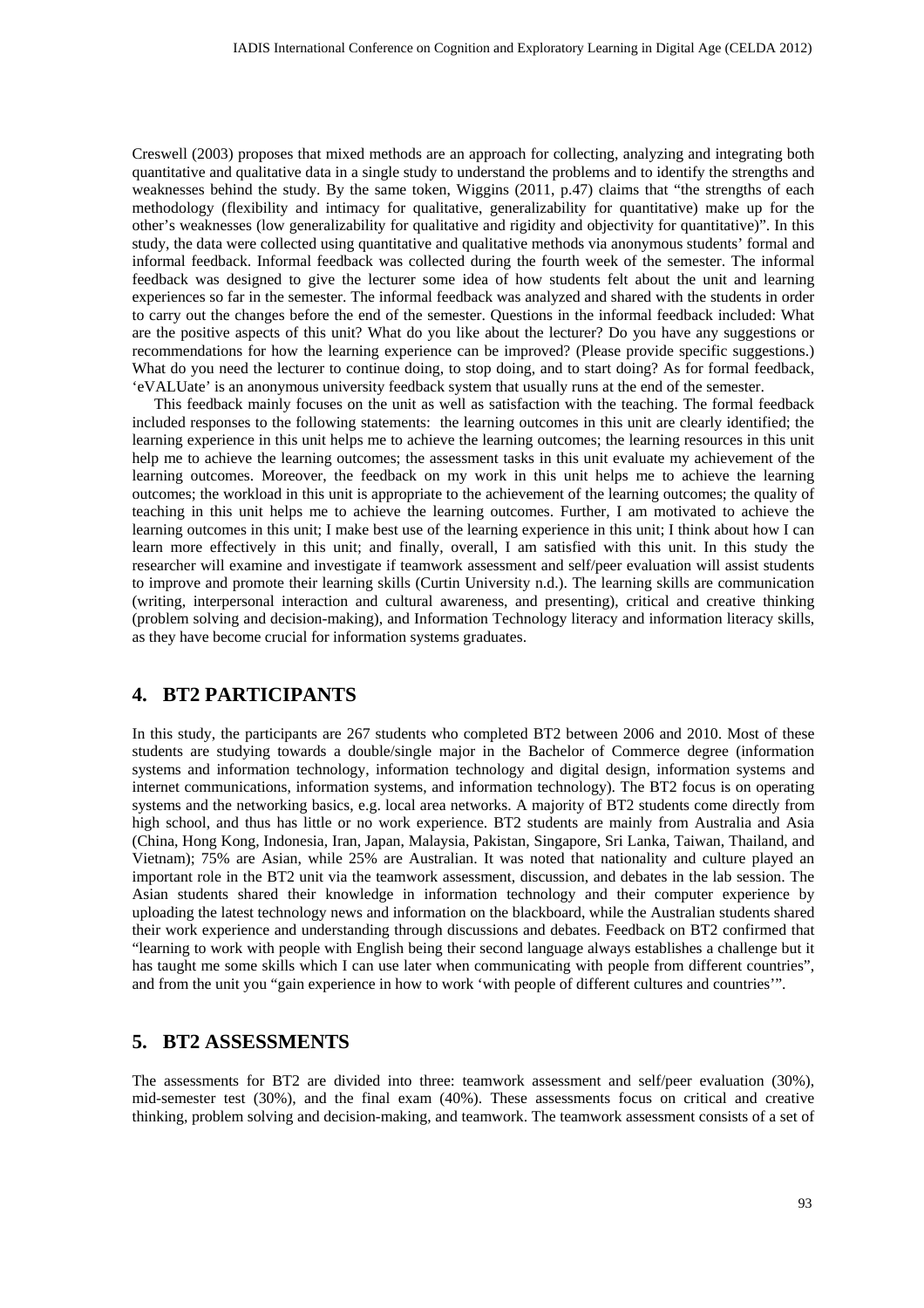Creswell (2003) proposes that mixed methods are an approach for collecting, analyzing and integrating both quantitative and qualitative data in a single study to understand the problems and to identify the strengths and weaknesses behind the study. By the same token, Wiggins (2011, p.47) claims that "the strengths of each methodology (flexibility and intimacy for qualitative, generalizability for quantitative) make up for the other's weaknesses (low generalizability for qualitative and rigidity and objectivity for quantitative)". In this study, the data were collected using quantitative and qualitative methods via anonymous students' formal and informal feedback. Informal feedback was collected during the fourth week of the semester. The informal feedback was designed to give the lecturer some idea of how students felt about the unit and learning experiences so far in the semester. The informal feedback was analyzed and shared with the students in order to carry out the changes before the end of the semester. Questions in the informal feedback included: What are the positive aspects of this unit? What do you like about the lecturer? Do you have any suggestions or recommendations for how the learning experience can be improved? (Please provide specific suggestions.) What do you need the lecturer to continue doing, to stop doing, and to start doing? As for formal feedback, 'eVALUate' is an anonymous university feedback system that usually runs at the end of the semester.

This feedback mainly focuses on the unit as well as satisfaction with the teaching. The formal feedback included responses to the following statements: the learning outcomes in this unit are clearly identified; the learning experience in this unit helps me to achieve the learning outcomes; the learning resources in this unit help me to achieve the learning outcomes; the assessment tasks in this unit evaluate my achievement of the learning outcomes. Moreover, the feedback on my work in this unit helps me to achieve the learning outcomes; the workload in this unit is appropriate to the achievement of the learning outcomes; the quality of teaching in this unit helps me to achieve the learning outcomes. Further, I am motivated to achieve the learning outcomes in this unit; I make best use of the learning experience in this unit; I think about how I can learn more effectively in this unit; and finally, overall, I am satisfied with this unit. In this study the researcher will examine and investigate if teamwork assessment and self/peer evaluation will assist students to improve and promote their learning skills (Curtin University n.d.). The learning skills are communication (writing, interpersonal interaction and cultural awareness, and presenting), critical and creative thinking (problem solving and decision-making), and Information Technology literacy and information literacy skills, as they have become crucial for information systems graduates.

## **4. BT2 PARTICIPANTS**

In this study, the participants are 267 students who completed BT2 between 2006 and 2010. Most of these students are studying towards a double/single major in the Bachelor of Commerce degree (information systems and information technology, information technology and digital design, information systems and internet communications, information systems, and information technology). The BT2 focus is on operating systems and the networking basics, e.g. local area networks. A majority of BT2 students come directly from high school, and thus has little or no work experience. BT2 students are mainly from Australia and Asia (China, Hong Kong, Indonesia, Iran, Japan, Malaysia, Pakistan, Singapore, Sri Lanka, Taiwan, Thailand, and Vietnam); 75% are Asian, while 25% are Australian. It was noted that nationality and culture played an important role in the BT2 unit via the teamwork assessment, discussion, and debates in the lab session. The Asian students shared their knowledge in information technology and their computer experience by uploading the latest technology news and information on the blackboard, while the Australian students shared their work experience and understanding through discussions and debates. Feedback on BT2 confirmed that "learning to work with people with English being their second language always establishes a challenge but it has taught me some skills which I can use later when communicating with people from different countries", and from the unit you "gain experience in how to work 'with people of different cultures and countries'".

#### **5. BT2 ASSESSMENTS**

The assessments for BT2 are divided into three: teamwork assessment and self/peer evaluation (30%), mid-semester test (30%), and the final exam (40%). These assessments focus on critical and creative thinking, problem solving and decision-making, and teamwork. The teamwork assessment consists of a set of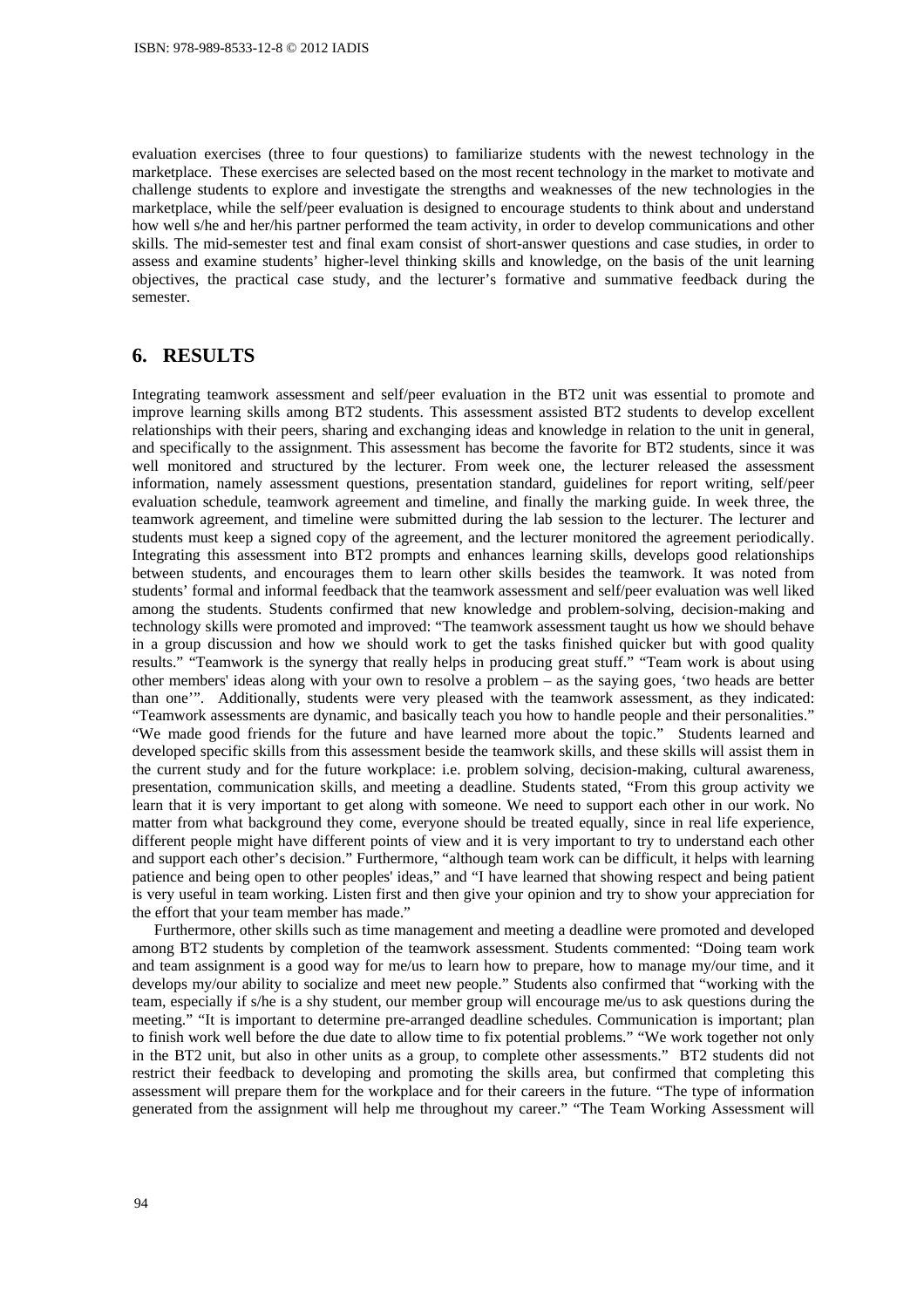evaluation exercises (three to four questions) to familiarize students with the newest technology in the marketplace. These exercises are selected based on the most recent technology in the market to motivate and challenge students to explore and investigate the strengths and weaknesses of the new technologies in the marketplace, while the self/peer evaluation is designed to encourage students to think about and understand how well s/he and her/his partner performed the team activity, in order to develop communications and other skills. The mid-semester test and final exam consist of short-answer questions and case studies, in order to assess and examine students' higher-level thinking skills and knowledge, on the basis of the unit learning objectives, the practical case study, and the lecturer's formative and summative feedback during the semester.

# **6. RESULTS**

Integrating teamwork assessment and self/peer evaluation in the BT2 unit was essential to promote and improve learning skills among BT2 students. This assessment assisted BT2 students to develop excellent relationships with their peers, sharing and exchanging ideas and knowledge in relation to the unit in general, and specifically to the assignment. This assessment has become the favorite for BT2 students, since it was well monitored and structured by the lecturer. From week one, the lecturer released the assessment information, namely assessment questions, presentation standard, guidelines for report writing, self/peer evaluation schedule, teamwork agreement and timeline, and finally the marking guide. In week three, the teamwork agreement, and timeline were submitted during the lab session to the lecturer. The lecturer and students must keep a signed copy of the agreement, and the lecturer monitored the agreement periodically. Integrating this assessment into BT2 prompts and enhances learning skills, develops good relationships between students, and encourages them to learn other skills besides the teamwork. It was noted from students' formal and informal feedback that the teamwork assessment and self/peer evaluation was well liked among the students. Students confirmed that new knowledge and problem-solving, decision-making and technology skills were promoted and improved: "The teamwork assessment taught us how we should behave in a group discussion and how we should work to get the tasks finished quicker but with good quality results." "Teamwork is the synergy that really helps in producing great stuff." "Team work is about using other members' ideas along with your own to resolve a problem – as the saying goes, 'two heads are better than one'". Additionally, students were very pleased with the teamwork assessment, as they indicated: "Teamwork assessments are dynamic, and basically teach you how to handle people and their personalities." "We made good friends for the future and have learned more about the topic." Students learned and developed specific skills from this assessment beside the teamwork skills, and these skills will assist them in the current study and for the future workplace: i.e. problem solving, decision-making, cultural awareness, presentation, communication skills, and meeting a deadline. Students stated, "From this group activity we learn that it is very important to get along with someone. We need to support each other in our work. No matter from what background they come, everyone should be treated equally, since in real life experience, different people might have different points of view and it is very important to try to understand each other and support each other's decision." Furthermore, "although team work can be difficult, it helps with learning patience and being open to other peoples' ideas," and "I have learned that showing respect and being patient is very useful in team working. Listen first and then give your opinion and try to show your appreciation for the effort that your team member has made."

Furthermore, other skills such as time management and meeting a deadline were promoted and developed among BT2 students by completion of the teamwork assessment. Students commented: "Doing team work and team assignment is a good way for me/us to learn how to prepare, how to manage my/our time, and it develops my/our ability to socialize and meet new people." Students also confirmed that "working with the team, especially if s/he is a shy student, our member group will encourage me/us to ask questions during the meeting." "It is important to determine pre-arranged deadline schedules. Communication is important; plan to finish work well before the due date to allow time to fix potential problems." "We work together not only in the BT2 unit, but also in other units as a group, to complete other assessments." BT2 students did not restrict their feedback to developing and promoting the skills area, but confirmed that completing this assessment will prepare them for the workplace and for their careers in the future. "The type of information generated from the assignment will help me throughout my career." "The Team Working Assessment will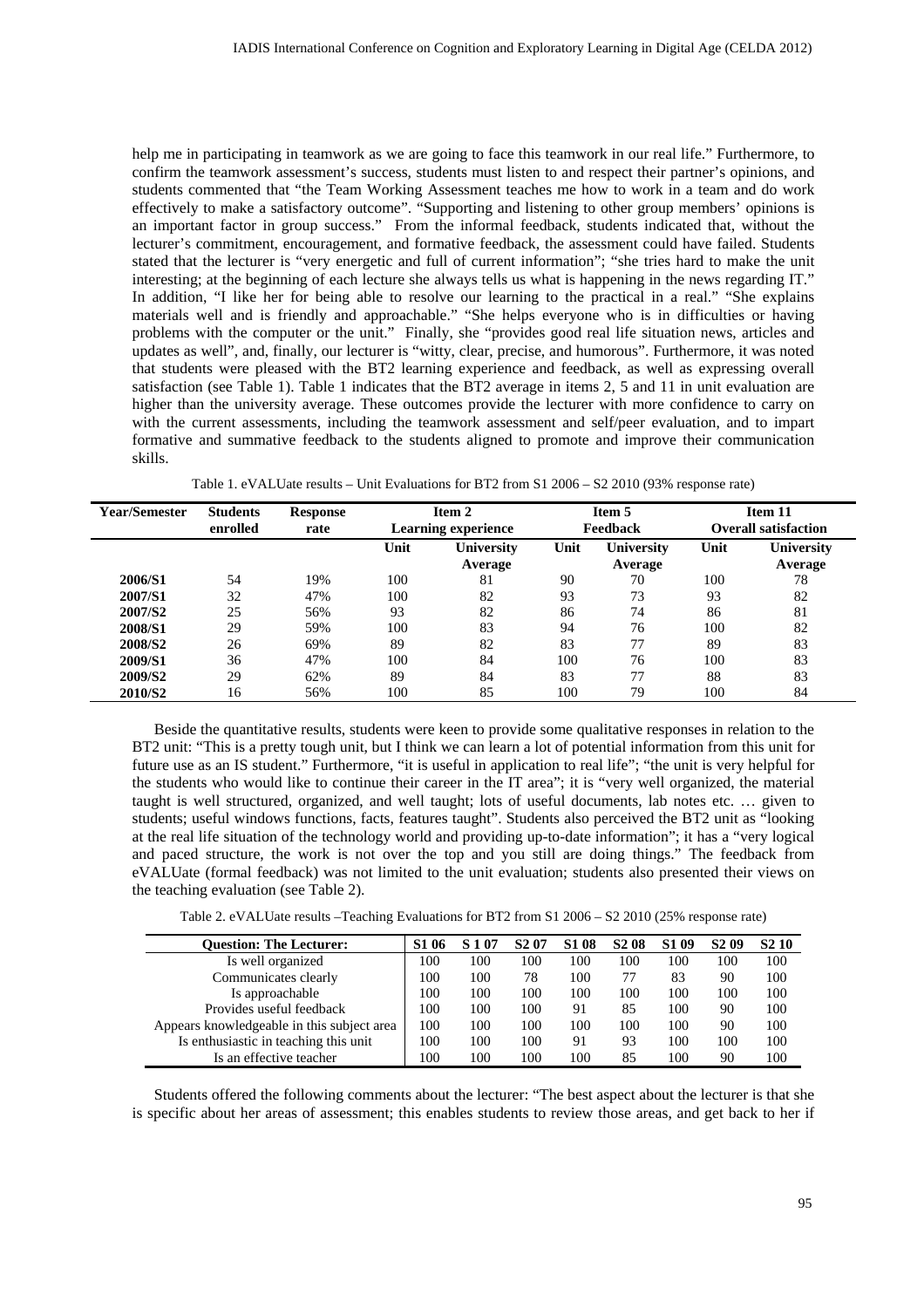help me in participating in teamwork as we are going to face this teamwork in our real life." Furthermore, to confirm the teamwork assessment's success, students must listen to and respect their partner's opinions, and students commented that "the Team Working Assessment teaches me how to work in a team and do work effectively to make a satisfactory outcome". "Supporting and listening to other group members' opinions is an important factor in group success." From the informal feedback, students indicated that, without the lecturer's commitment, encouragement, and formative feedback, the assessment could have failed. Students stated that the lecturer is "very energetic and full of current information"; "she tries hard to make the unit interesting; at the beginning of each lecture she always tells us what is happening in the news regarding IT." In addition, "I like her for being able to resolve our learning to the practical in a real." "She explains materials well and is friendly and approachable." "She helps everyone who is in difficulties or having problems with the computer or the unit." Finally, she "provides good real life situation news, articles and updates as well", and, finally, our lecturer is "witty, clear, precise, and humorous". Furthermore, it was noted that students were pleased with the BT2 learning experience and feedback, as well as expressing overall satisfaction (see Table 1). Table 1 indicates that the BT2 average in items 2, 5 and 11 in unit evaluation are higher than the university average. These outcomes provide the lecturer with more confidence to carry on with the current assessments, including the teamwork assessment and self/peer evaluation, and to impart formative and summative feedback to the students aligned to promote and improve their communication skills.

| Year/Semester       | <b>Students</b><br>enrolled | <b>Response</b><br>rate | Item 2<br><b>Learning experience</b> |                              |      | Item 5<br>Feedback    | Item 11<br><b>Overall satisfaction</b> |                       |  |
|---------------------|-----------------------------|-------------------------|--------------------------------------|------------------------------|------|-----------------------|----------------------------------------|-----------------------|--|
|                     |                             |                         | Unit                                 | <b>University</b><br>Average | Unit | University<br>Average | Unit                                   | University<br>Average |  |
| 2006/S1             | 54                          | 19%                     | 100                                  | 81                           | 90   | 70                    | 100                                    | 78                    |  |
| 2007/S1             | 32                          | 47%                     | 100                                  | 82                           | 93   | 73                    | 93                                     | 82                    |  |
| 2007/S <sub>2</sub> | 25                          | 56%                     | 93                                   | 82                           | 86   | 74                    | 86                                     | 81                    |  |
| 2008/S1             | 29                          | 59%                     | 100                                  | 83                           | 94   | 76                    | 100                                    | 82                    |  |
| <b>2008/S2</b>      | 26                          | 69%                     | 89                                   | 82                           | 83   | 77                    | 89                                     | 83                    |  |
| 2009/S1             | 36                          | 47%                     | 100                                  | 84                           | 100  | 76                    | 100                                    | 83                    |  |
| 2009/S2             | 29                          | 62%                     | 89                                   | 84                           | 83   | 77                    | 88                                     | 83                    |  |
| <b>2010/S2</b>      | 16                          | 56%                     | 100                                  | 85                           | 100  | 79                    | 100                                    | 84                    |  |

Table 1. eVALUate results – Unit Evaluations for BT2 from S1 2006 – S2 2010 (93% response rate)

Beside the quantitative results, students were keen to provide some qualitative responses in relation to the BT2 unit: "This is a pretty tough unit, but I think we can learn a lot of potential information from this unit for future use as an IS student." Furthermore, "it is useful in application to real life"; "the unit is very helpful for the students who would like to continue their career in the IT area"; it is "very well organized, the material taught is well structured, organized, and well taught; lots of useful documents, lab notes etc. … given to students; useful windows functions, facts, features taught". Students also perceived the BT2 unit as "looking at the real life situation of the technology world and providing up-to-date information"; it has a "very logical and paced structure, the work is not over the top and you still are doing things." The feedback from eVALUate (formal feedback) was not limited to the unit evaluation; students also presented their views on the teaching evaluation (see Table 2).

|  |  |  | Table 2. eVALUate results –Teaching Evaluations for BT2 from S1 2006 – S2 2010 (25% response rate) |
|--|--|--|----------------------------------------------------------------------------------------------------|
|--|--|--|----------------------------------------------------------------------------------------------------|

| <b>Ouestion: The Lecturer:</b>             | S <sub>1</sub> 06 | S 1 07 | S <sub>2</sub> 07 | <b>S108</b> | S <sub>2</sub> 08 | S <sub>1</sub> 09 | S <sub>2</sub> 09 | S <sub>2</sub> 10 |
|--------------------------------------------|-------------------|--------|-------------------|-------------|-------------------|-------------------|-------------------|-------------------|
| Is well organized                          | 100               | 100    | 100               | 100         | 100               | 100               | 100               | 100               |
| Communicates clearly                       | 100               | 100    | 78                | 100         | 77                | 83                | 90                | 100               |
| Is approachable                            | 100               | 100    | 100               | 100         | 100               | 100               | 100               | 100               |
| Provides useful feedback                   | 100               | 100    | 100               | 91          | 85                | 100               | 90                | 100               |
| Appears knowledgeable in this subject area | 100               | 100    | 100               | 100         | 100               | 100               | 90                | 100               |
| Is enthusiastic in teaching this unit      | 100               | 100    | 100               | 91          | 93                | 100               | 100               | 100               |
| Is an effective teacher                    | 100               | 100    | 100               | 100         | 85                | 100               | 90                | 100               |

Students offered the following comments about the lecturer: "The best aspect about the lecturer is that she is specific about her areas of assessment; this enables students to review those areas, and get back to her if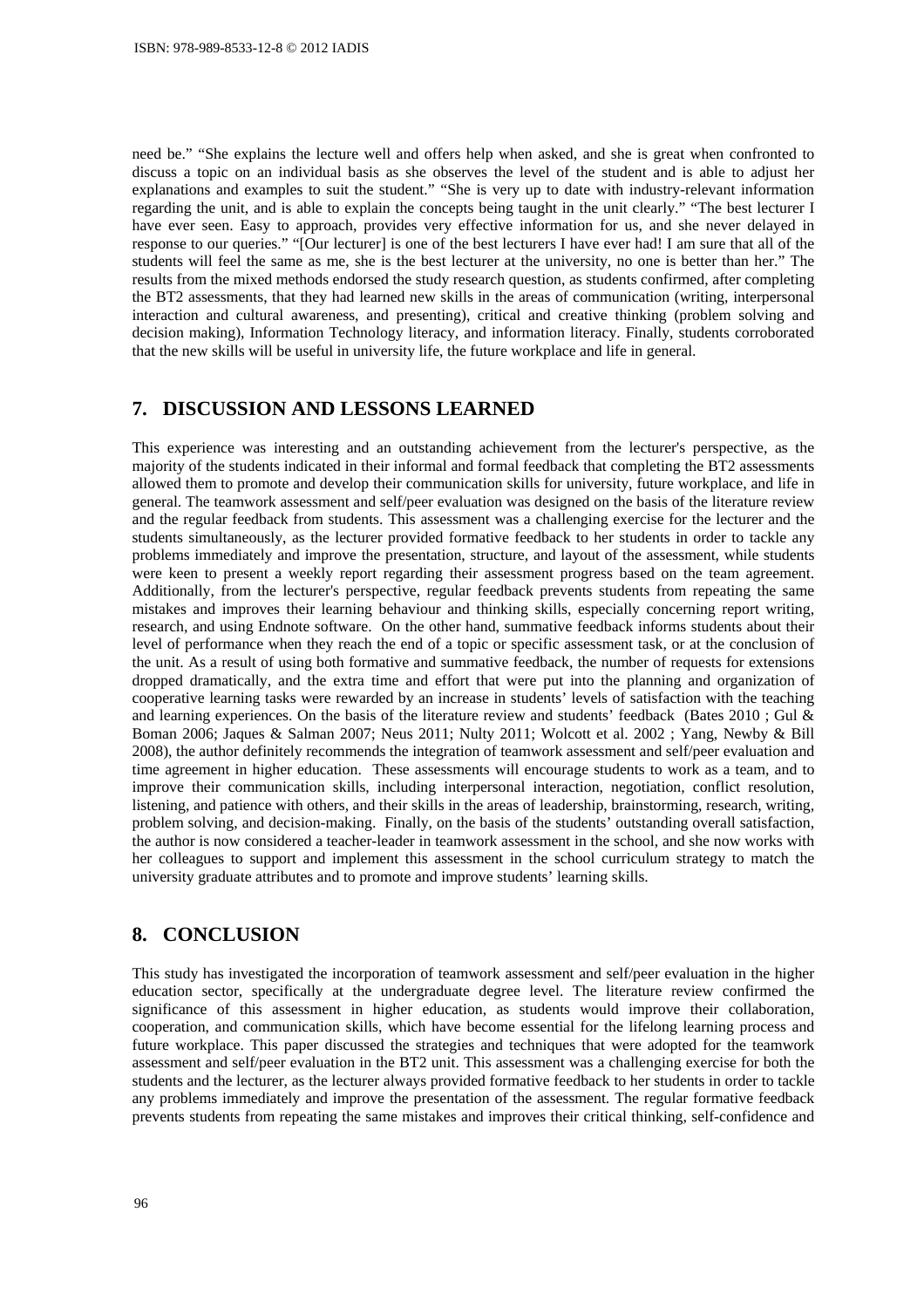need be." "She explains the lecture well and offers help when asked, and she is great when confronted to discuss a topic on an individual basis as she observes the level of the student and is able to adjust her explanations and examples to suit the student." "She is very up to date with industry-relevant information regarding the unit, and is able to explain the concepts being taught in the unit clearly." "The best lecturer I have ever seen. Easy to approach, provides very effective information for us, and she never delayed in response to our queries." "[Our lecturer] is one of the best lecturers I have ever had! I am sure that all of the students will feel the same as me, she is the best lecturer at the university, no one is better than her." The results from the mixed methods endorsed the study research question, as students confirmed, after completing the BT2 assessments, that they had learned new skills in the areas of communication (writing, interpersonal interaction and cultural awareness, and presenting), critical and creative thinking (problem solving and decision making), Information Technology literacy, and information literacy. Finally, students corroborated that the new skills will be useful in university life, the future workplace and life in general.

#### **7. DISCUSSION AND LESSONS LEARNED**

This experience was interesting and an outstanding achievement from the lecturer's perspective, as the majority of the students indicated in their informal and formal feedback that completing the BT2 assessments allowed them to promote and develop their communication skills for university, future workplace, and life in general. The teamwork assessment and self/peer evaluation was designed on the basis of the literature review and the regular feedback from students. This assessment was a challenging exercise for the lecturer and the students simultaneously, as the lecturer provided formative feedback to her students in order to tackle any problems immediately and improve the presentation, structure, and layout of the assessment, while students were keen to present a weekly report regarding their assessment progress based on the team agreement. Additionally, from the lecturer's perspective, regular feedback prevents students from repeating the same mistakes and improves their learning behaviour and thinking skills, especially concerning report writing, research, and using Endnote software. On the other hand, summative feedback informs students about their level of performance when they reach the end of a topic or specific assessment task, or at the conclusion of the unit. As a result of using both formative and summative feedback, the number of requests for extensions dropped dramatically, and the extra time and effort that were put into the planning and organization of cooperative learning tasks were rewarded by an increase in students' levels of satisfaction with the teaching and learning experiences. On the basis of the literature review and students' feedback (Bates 2010; Gul  $\&$ Boman 2006; Jaques & Salman 2007; Neus 2011; Nulty 2011; Wolcott et al. 2002 ; Yang, Newby & Bill 2008), the author definitely recommends the integration of teamwork assessment and self/peer evaluation and time agreement in higher education. These assessments will encourage students to work as a team, and to improve their communication skills, including interpersonal interaction, negotiation, conflict resolution, listening, and patience with others, and their skills in the areas of leadership, brainstorming, research, writing, problem solving, and decision-making. Finally, on the basis of the students' outstanding overall satisfaction, the author is now considered a teacher-leader in teamwork assessment in the school, and she now works with her colleagues to support and implement this assessment in the school curriculum strategy to match the university graduate attributes and to promote and improve students' learning skills.

# **8. CONCLUSION**

This study has investigated the incorporation of teamwork assessment and self/peer evaluation in the higher education sector, specifically at the undergraduate degree level. The literature review confirmed the significance of this assessment in higher education, as students would improve their collaboration, cooperation, and communication skills, which have become essential for the lifelong learning process and future workplace. This paper discussed the strategies and techniques that were adopted for the teamwork assessment and self/peer evaluation in the BT2 unit. This assessment was a challenging exercise for both the students and the lecturer, as the lecturer always provided formative feedback to her students in order to tackle any problems immediately and improve the presentation of the assessment. The regular formative feedback prevents students from repeating the same mistakes and improves their critical thinking, self-confidence and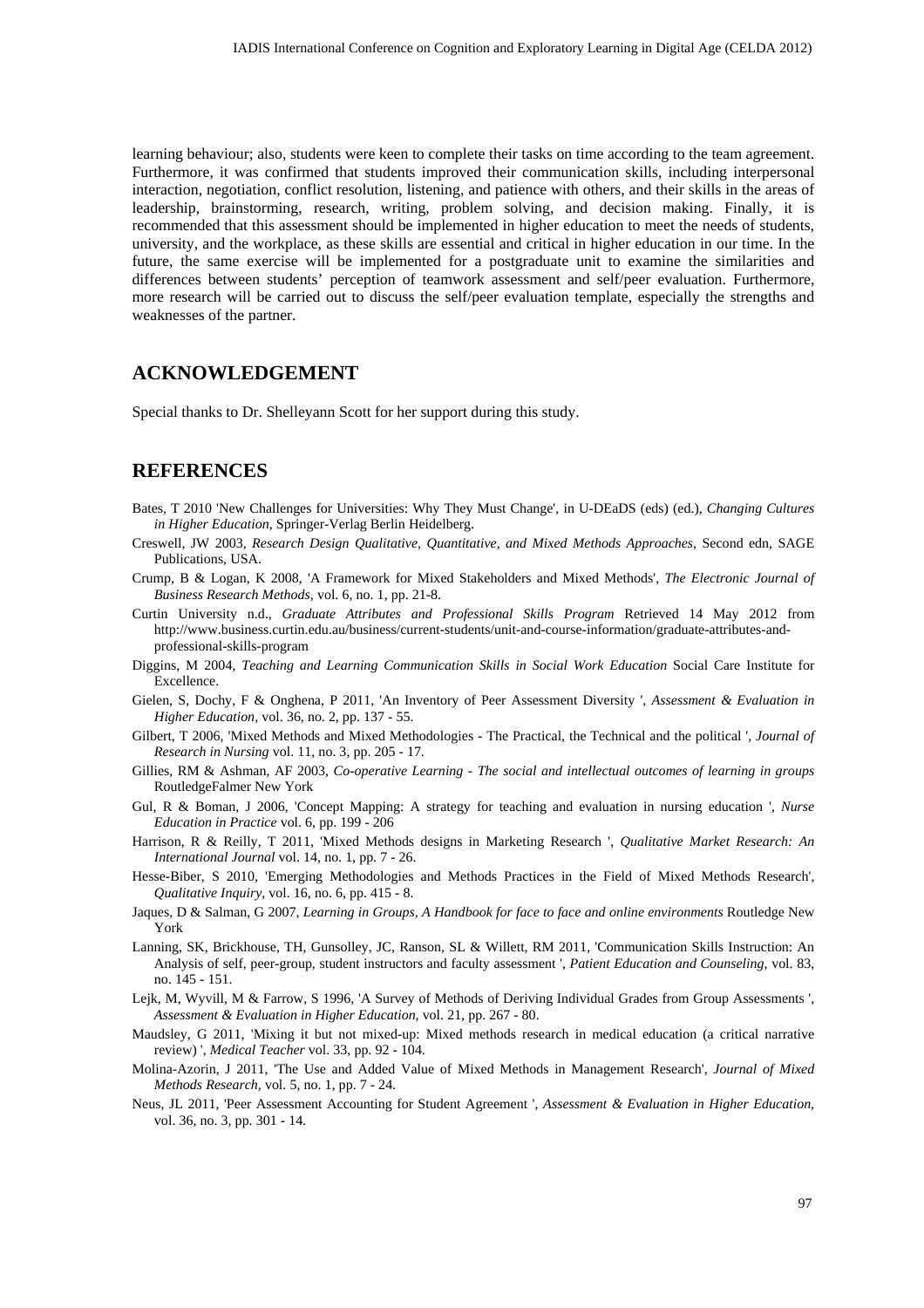learning behaviour; also, students were keen to complete their tasks on time according to the team agreement. Furthermore, it was confirmed that students improved their communication skills, including interpersonal interaction, negotiation, conflict resolution, listening, and patience with others, and their skills in the areas of leadership, brainstorming, research, writing, problem solving, and decision making. Finally, it is recommended that this assessment should be implemented in higher education to meet the needs of students, university, and the workplace, as these skills are essential and critical in higher education in our time. In the future, the same exercise will be implemented for a postgraduate unit to examine the similarities and differences between students' perception of teamwork assessment and self/peer evaluation. Furthermore, more research will be carried out to discuss the self/peer evaluation template, especially the strengths and weaknesses of the partner.

## **ACKNOWLEDGEMENT**

Special thanks to Dr. Shelleyann Scott for her support during this study.

### **REFERENCES**

- Bates, T 2010 'New Challenges for Universities: Why They Must Change', in U-DEaDS (eds) (ed.), *Changing Cultures in Higher Education*, Springer-Verlag Berlin Heidelberg.
- Creswell, JW 2003, *Research Design Qualitative, Quantitative, and Mixed Methods Approaches,* Second edn, SAGE Publications, USA.
- Crump, B & Logan, K 2008, 'A Framework for Mixed Stakeholders and Mixed Methods', *The Electronic Journal of Business Research Methods,* vol. 6, no. 1, pp. 21-8.
- Curtin University n.d., *Graduate Attributes and Professional Skills Program* Retrieved 14 May 2012 from http://www.business.curtin.edu.au/business/current-students/unit-and-course-information/graduate-attributes-andprofessional-skills-program
- Diggins, M 2004, *Teaching and Learning Communication Skills in Social Work Education* Social Care Institute for Excellence.
- Gielen, S, Dochy, F & Onghena, P 2011, 'An Inventory of Peer Assessment Diversity ', *Assessment & Evaluation in Higher Education,* vol. 36, no. 2, pp. 137 - 55.
- Gilbert, T 2006, 'Mixed Methods and Mixed Methodologies The Practical, the Technical and the political ', *Journal of Research in Nursing* vol. 11, no. 3, pp. 205 - 17.
- Gillies, RM & Ashman, AF 2003, *Co-operative Learning The social and intellectual outcomes of learning in groups*  RoutledgeFalmer New York
- Gul, R & Boman, J 2006, 'Concept Mapping: A strategy for teaching and evaluation in nursing education ', *Nurse Education in Practice* vol. 6, pp. 199 - 206
- Harrison, R & Reilly, T 2011, 'Mixed Methods designs in Marketing Research ', *Qualitative Market Research: An International Journal* vol. 14, no. 1, pp. 7 - 26.
- Hesse-Biber, S 2010, 'Emerging Methodologies and Methods Practices in the Field of Mixed Methods Research', *Qualitative Inquiry,* vol. 16, no. 6, pp. 415 - 8.
- Jaques, D & Salman, G 2007, *Learning in Groups, A Handbook for face to face and online environments* Routledge New York
- Lanning, SK, Brickhouse, TH, Gunsolley, JC, Ranson, SL & Willett, RM 2011, 'Communication Skills Instruction: An Analysis of self, peer-group, student instructors and faculty assessment ', *Patient Education and Counseling,* vol. 83, no. 145 - 151.
- Lejk, M, Wyvill, M & Farrow, S 1996, 'A Survey of Methods of Deriving Individual Grades from Group Assessments ', *Assessment & Evaluation in Higher Education,* vol. 21, pp. 267 - 80.
- Maudsley, G 2011, 'Mixing it but not mixed-up: Mixed methods research in medical education (a critical narrative review) ', *Medical Teacher* vol. 33, pp. 92 - 104.
- Molina-Azorin, J 2011, 'The Use and Added Value of Mixed Methods in Management Research', *Journal of Mixed Methods Research,* vol. 5, no. 1, pp. 7 - 24.
- Neus, JL 2011, 'Peer Assessment Accounting for Student Agreement ', *Assessment & Evaluation in Higher Education,* vol. 36, no. 3, pp. 301 - 14.